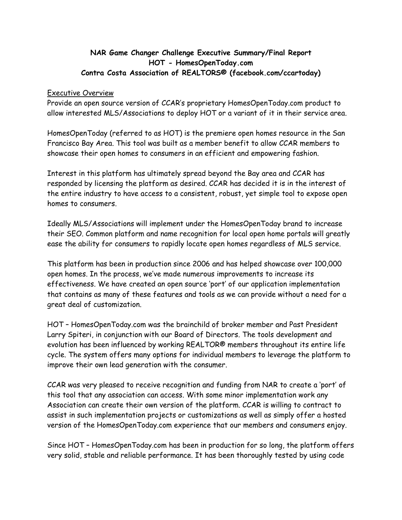## **NAR Game Changer Challenge Executive Summary/Final Report HOT - HomesOpenToday.com Contra Costa Association of REALTORS® (facebook.com/ccartoday)**

## Executive Overview

Provide an open source version of CCAR's proprietary HomesOpenToday.com product to allow interested MLS/Associations to deploy HOT or a variant of it in their service area.

HomesOpenToday (referred to as HOT) is the premiere open homes resource in the San Francisco Bay Area. This tool was built as a member benefit to allow CCAR members to showcase their open homes to consumers in an efficient and empowering fashion.

Interest in this platform has ultimately spread beyond the Bay area and CCAR has responded by licensing the platform as desired. CCAR has decided it is in the interest of the entire industry to have access to a consistent, robust, yet simple tool to expose open homes to consumers.

Ideally MLS/Associations will implement under the HomesOpenToday brand to increase their SEO. Common platform and name recognition for local open home portals will greatly ease the ability for consumers to rapidly locate open homes regardless of MLS service.

This platform has been in production since 2006 and has helped showcase over 100,000 open homes. In the process, we've made numerous improvements to increase its effectiveness. We have created an open source 'port' of our application implementation that contains as many of these features and tools as we can provide without a need for a great deal of customization.

HOT – HomesOpenToday.com was the brainchild of broker member and Past President Larry Spiteri, in conjunction with our Board of Directors. The tools development and evolution has been influenced by working REALTOR® members throughout its entire life cycle. The system offers many options for individual members to leverage the platform to improve their own lead generation with the consumer.

CCAR was very pleased to receive recognition and funding from NAR to create a 'port' of this tool that any association can access. With some minor implementation work any Association can create their own version of the platform. CCAR is willing to contract to assist in such implementation projects or customizations as well as simply offer a hosted version of the HomesOpenToday.com experience that our members and consumers enjoy.

Since HOT – HomesOpenToday.com has been in production for so long, the platform offers very solid, stable and reliable performance. It has been thoroughly tested by using code